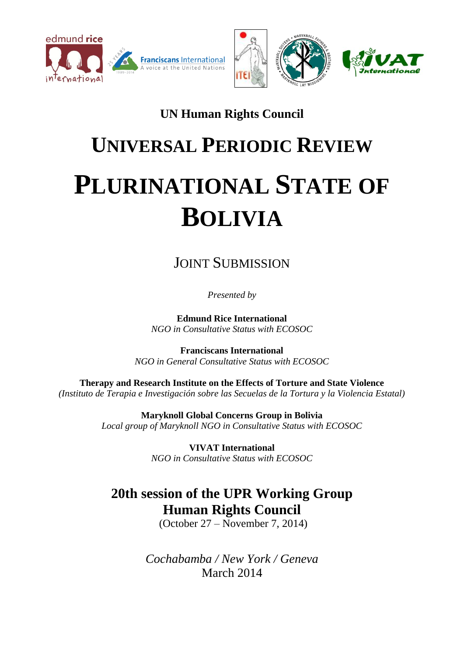





# **UN Human Rights Council**

# **UNIVERSAL PERIODIC REVIEW PLURINATIONAL STATE OF BOLIVIA**

# JOINT SUBMISSION

*Presented by*

**Edmund Rice International** *NGO in Consultative Status with ECOSOC*

**Franciscans International** *NGO in General Consultative Status with ECOSOC*

**Therapy and Research Institute on the Effects of Torture and State Violence** *(Instituto de Terapia e Investigación sobre las Secuelas de la Tortura y la Violencia Estatal)*

> **Maryknoll Global Concerns Group in Bolivia** *Local group of Maryknoll NGO in Consultative Status with ECOSOC*

> > **VIVAT International** *NGO in Consultative Status with ECOSOC*

# **20th session of the UPR Working Group Human Rights Council**

(October 27 – November 7, 2014)

*Cochabamba / New York / Geneva* March 2014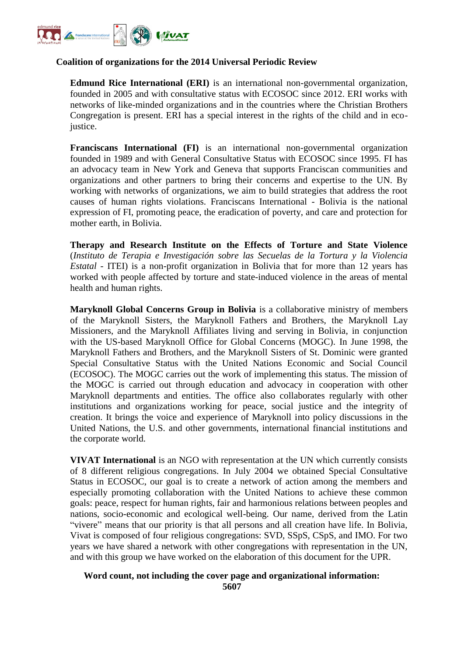

#### **Coalition of organizations for the 2014 Universal Periodic Review**

**Edmund Rice International (ERI)** is an international non-governmental organization, founded in 2005 and with consultative status with ECOSOC since 2012. ERI works with networks of like-minded organizations and in the countries where the Christian Brothers Congregation is present. ERI has a special interest in the rights of the child and in ecojustice.

**Franciscans International (FI)** is an international non-governmental organization founded in 1989 and with General Consultative Status with ECOSOC since 1995. FI has an advocacy team in New York and Geneva that supports Franciscan communities and organizations and other partners to bring their concerns and expertise to the UN. By working with networks of organizations, we aim to build strategies that address the root causes of human rights violations. Franciscans International - Bolivia is the national expression of FI, promoting peace, the eradication of poverty, and care and protection for mother earth, in Bolivia.

**Therapy and Research Institute on the Effects of Torture and State Violence**  (*Instituto de Terapia e Investigación sobre las Secuelas de la Tortura y la Violencia Estatal -* ITEI) is a non-profit organization in Bolivia that for more than 12 years has worked with people affected by torture and state-induced violence in the areas of mental health and human rights.

**Maryknoll Global Concerns Group in Bolivia** is a collaborative ministry of members of the Maryknoll Sisters, the Maryknoll Fathers and Brothers, the Maryknoll Lay Missioners, and the Maryknoll Affiliates living and serving in Bolivia, in conjunction with the US-based Maryknoll Office for Global Concerns (MOGC). In June 1998, the Maryknoll Fathers and Brothers, and the Maryknoll Sisters of St. Dominic were granted Special Consultative Status with the United Nations Economic and Social Council (ECOSOC). The MOGC carries out the work of implementing this status. The mission of the MOGC is carried out through education and advocacy in cooperation with other Maryknoll departments and entities. The office also collaborates regularly with other institutions and organizations working for peace, social justice and the integrity of creation. It brings the voice and experience of Maryknoll into policy discussions in the United Nations, the U.S. and other governments, international financial institutions and the corporate world.

**VIVAT International** is an NGO with representation at the UN which currently consists of 8 different religious congregations. In July 2004 we obtained Special Consultative Status in ECOSOC, our goal is to create a network of action among the members and especially promoting collaboration with the United Nations to achieve these common goals: peace, respect for human rights, fair and harmonious relations between peoples and nations, socio-economic and ecological well-being. Our name, derived from the Latin "vivere" means that our priority is that all persons and all creation have life. In Bolivia, Vivat is composed of four religious congregations: SVD, SSpS, CSpS, and IMO. For two years we have shared a network with other congregations with representation in the UN, and with this group we have worked on the elaboration of this document for the UPR.

#### **Word count, not including the cover page and organizational information: 5607**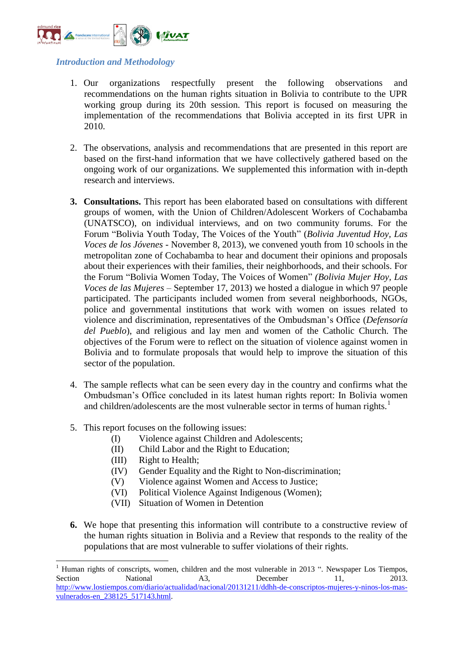

#### *Introduction and Methodology*

- 1. Our organizations respectfully present the following observations and recommendations on the human rights situation in Bolivia to contribute to the UPR working group during its 20th session. This report is focused on measuring the implementation of the recommendations that Bolivia accepted in its first UPR in 2010.
- 2. The observations, analysis and recommendations that are presented in this report are based on the first-hand information that we have collectively gathered based on the ongoing work of our organizations. We supplemented this information with in-depth research and interviews.
- **3. Consultations.** This report has been elaborated based on consultations with different groups of women, with the Union of Children/Adolescent Workers of Cochabamba (UNATSCO), on individual interviews, and on two community forums. For the Forum "Bolivia Youth Today, The Voices of the Youth" (*Bolivia Juventud Hoy, Las Voces de los Jóvenes* - November 8, 2013), we convened youth from 10 schools in the metropolitan zone of Cochabamba to hear and document their opinions and proposals about their experiences with their families, their neighborhoods, and their schools. For the Forum "Bolivia Women Today, The Voices of Women" *(Bolivia Mujer Hoy, Las Voces de las Mujeres –* September 17, 2013) we hosted a dialogue in which 97 people participated. The participants included women from several neighborhoods, NGOs, police and governmental institutions that work with women on issues related to violence and discrimination, representatives of the Ombudsman's Office (*Defensoría del Pueblo*), and religious and lay men and women of the Catholic Church. The objectives of the Forum were to reflect on the situation of violence against women in Bolivia and to formulate proposals that would help to improve the situation of this sector of the population.
- 4. The sample reflects what can be seen every day in the country and confirms what the Ombudsman's Office concluded in its latest human rights report: In Bolivia women and children/adolescents are the most vulnerable sector in terms of human rights. $<sup>1</sup>$ </sup>
- 5. This report focuses on the following issues:
	- (I) Violence against Children and Adolescents;
	- (II) Child Labor and the Right to Education;
	- (III) Right to Health;

.

- (IV) Gender Equality and the Right to Non-discrimination;
- (V) Violence against Women and Access to Justice;
- (VI) Political Violence Against Indigenous (Women);
- (VII) Situation of Women in Detention
- **6.** We hope that presenting this information will contribute to a constructive review of the human rights situation in Bolivia and a Review that responds to the reality of the populations that are most vulnerable to suffer violations of their rights.

<sup>1</sup> Human rights of conscripts, women, children and the most vulnerable in 2013 ". Newspaper Los Tiempos, Section National A3, December 11, 2013. [http://www.lostiempos.com/diario/actualidad/nacional/20131211/ddhh-de-conscriptos-mujeres-y-ninos-los-mas](http://www.lostiempos.com/diario/actualidad/nacional/20131211/ddhh-de-conscriptos-mujeres-y-ninos-los-mas-vulnerados-en_238125_517143.html)[vulnerados-en\\_238125\\_517143.html.](http://www.lostiempos.com/diario/actualidad/nacional/20131211/ddhh-de-conscriptos-mujeres-y-ninos-los-mas-vulnerados-en_238125_517143.html)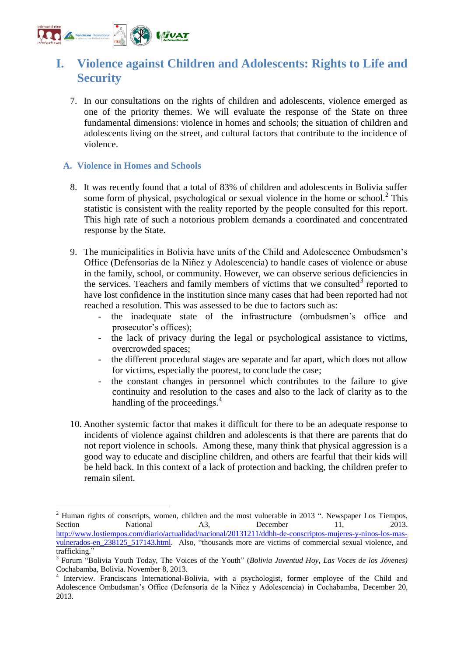

# **I. Violence against Children and Adolescents: Rights to Life and Security**

7. In our consultations on the rights of children and adolescents, violence emerged as one of the priority themes. We will evaluate the response of the State on three fundamental dimensions: violence in homes and schools; the situation of children and adolescents living on the street, and cultural factors that contribute to the incidence of violence.

#### **A. Violence in Homes and Schools**

.

- 8. It was recently found that a total of 83% of children and adolescents in Bolivia suffer some form of physical, psychological or sexual violence in the home or school. $2$  This statistic is consistent with the reality reported by the people consulted for this report. This high rate of such a notorious problem demands a coordinated and concentrated response by the State.
- 9. The municipalities in Bolivia have units of the Child and Adolescence Ombudsmen's Office (Defensorías de la Niñez y Adolescencia) to handle cases of violence or abuse in the family, school, or community. However, we can observe serious deficiencies in the services. Teachers and family members of victims that we consulted<sup>3</sup> reported to have lost confidence in the institution since many cases that had been reported had not reached a resolution. This was assessed to be due to factors such as:
	- the inadequate state of the infrastructure (ombudsmen's office and prosecutor's offices);
	- the lack of privacy during the legal or psychological assistance to victims, overcrowded spaces;
	- the different procedural stages are separate and far apart, which does not allow for victims, especially the poorest, to conclude the case;
	- the constant changes in personnel which contributes to the failure to give continuity and resolution to the cases and also to the lack of clarity as to the handling of the proceedings.<sup>4</sup>
- 10. Another systemic factor that makes it difficult for there to be an adequate response to incidents of violence against children and adolescents is that there are parents that do not report violence in schools. Among these, many think that physical aggression is a good way to educate and discipline children, and others are fearful that their kids will be held back. In this context of a lack of protection and backing, the children prefer to remain silent.

<sup>&</sup>lt;sup>2</sup> Human rights of conscripts, women, children and the most vulnerable in 2013 ". Newspaper Los Tiempos, Section National A3, December 11, 2013. [http://www.lostiempos.com/diario/actualidad/nacional/20131211/ddhh-de-conscriptos-mujeres-y-ninos-los-mas](http://www.lostiempos.com/diario/actualidad/nacional/20131211/ddhh-de-conscriptos-mujeres-y-ninos-los-mas-vulnerados-en_238125_517143.html)[vulnerados-en\\_238125\\_517143.html.](http://www.lostiempos.com/diario/actualidad/nacional/20131211/ddhh-de-conscriptos-mujeres-y-ninos-los-mas-vulnerados-en_238125_517143.html) Also, "thousands more are victims of commercial sexual violence, and trafficking."

<sup>3</sup> Forum "Bolivia Youth Today, The Voices of the Youth" (*Bolivia Juventud Hoy, Las Voces de los Jóvenes)*  Cochabamba, Bolivia. November 8, 2013.

<sup>4</sup> Interview. Franciscans International-Bolivia, with a psychologist, former employee of the Child and Adolescence Ombudsman's Office (Defensoría de la Niñez y Adolescencia) in Cochabamba, December 20, 2013.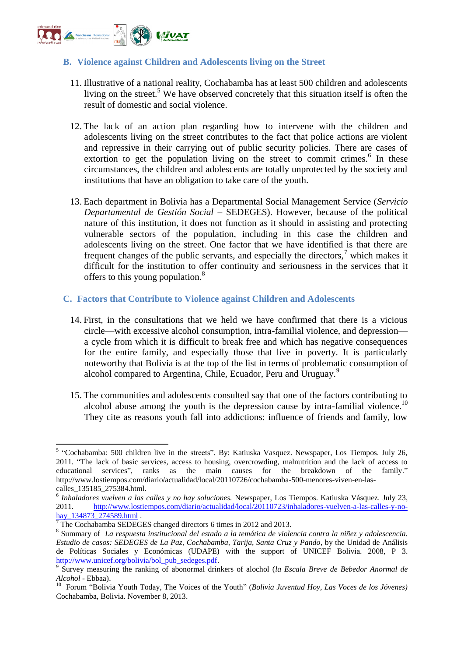

#### **B. Violence against Children and Adolescents living on the Street**

- 11. Illustrative of a national reality, Cochabamba has at least 500 children and adolescents living on the street.<sup>5</sup> We have observed concretely that this situation itself is often the result of domestic and social violence.
- 12. The lack of an action plan regarding how to intervene with the children and adolescents living on the street contributes to the fact that police actions are violent and repressive in their carrying out of public security policies. There are cases of extortion to get the population living on the street to commit crimes. $6$  In these circumstances, the children and adolescents are totally unprotected by the society and institutions that have an obligation to take care of the youth.
- 13. Each department in Bolivia has a Departmental Social Management Service (*Servicio Departamental de Gestión Social* – SEDEGES). However, because of the political nature of this institution, it does not function as it should in assisting and protecting vulnerable sectors of the population, including in this case the children and adolescents living on the street. One factor that we have identified is that there are frequent changes of the public servants, and especially the directors,  $\frac{1}{2}$  which makes it difficult for the institution to offer continuity and seriousness in the services that it offers to this young population.<sup>8</sup>

#### **C. Factors that Contribute to Violence against Children and Adolescents**

- 14. First, in the consultations that we held we have confirmed that there is a vicious circle—with excessive alcohol consumption, intra-familial violence, and depression a cycle from which it is difficult to break free and which has negative consequences for the entire family, and especially those that live in poverty. It is particularly noteworthy that Bolivia is at the top of the list in terms of problematic consumption of alcohol compared to Argentina, Chile, Ecuador, Peru and Uruguay.<sup>9</sup>
- 15. The communities and adolescents consulted say that one of the factors contributing to alcohol abuse among the youth is the depression cause by intra-familial violence.<sup>10</sup> They cite as reasons youth fall into addictions: influence of friends and family, low

 5 "Cochabamba: 500 children live in the streets". By: Katiuska Vasquez. Newspaper, Los Tiempos. July 26, 2011. "The lack of basic services, access to housing, overcrowding, malnutrition and the lack of access to educational services", ranks as the main causes for the breakdown of the family." http://www.lostiempos.com/diario/actualidad/local/20110726/cochabamba-500-menores-viven-en-lascalles\_135185\_275384.html.

<sup>6</sup> *Inhaladores vuelven a las calles y no hay soluciones.* Newspaper, Los Tiempos. Katiuska Vásquez. July 23, 2011. [http://www.lostiempos.com/diario/actualidad/local/20110723/inhaladores-vuelven-a-las-calles-y-no](http://www.lostiempos.com/diario/actualidad/local/20110723/inhaladores-vuelven-a-las-calles-y-no-hay_134873_274589.html)[hay\\_134873\\_274589.html](http://www.lostiempos.com/diario/actualidad/local/20110723/inhaladores-vuelven-a-las-calles-y-no-hay_134873_274589.html) .

<sup>7</sup> The Cochabamba SEDEGES changed directors 6 times in 2012 and 2013.

<sup>8</sup> Summary of *La respuesta institucional del estado a la temática de violencia contra la niñez y adolescencia. Estudio de casos: SEDEGES de La Paz, Cochabamba, Tarija, Santa Cruz y Pando*, by the Unidad de Análisis de Políticas Sociales y Económicas (UDAPE) with the support of UNICEF Bolivia. 2008, P 3. [http://www.unicef.org/bolivia/bol\\_pub\\_sedeges.pdf.](http://www.unicef.org/bolivia/bol_pub_sedeges.pdf)

<sup>9</sup> Survey measuring the ranking of abonormal drinkers of alochol (*la Escala Breve de Bebedor Anormal de Alcohol* - Ebbaa).

<sup>&</sup>lt;sup>10</sup> Forum "Bolivia Youth Today, The Voices of the Youth" (*Bolivia Juventud Hoy, Las Voces de los Jóvenes*) Cochabamba, Bolivia. November 8, 2013.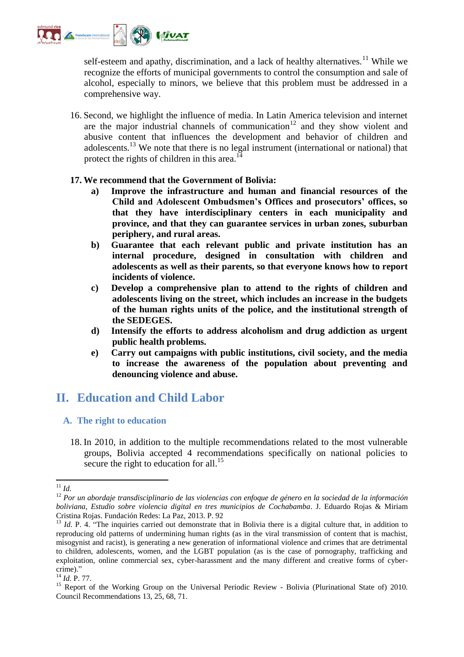

self-esteem and apathy, discrimination, and a lack of healthy alternatives.<sup>11</sup> While we recognize the efforts of municipal governments to control the consumption and sale of alcohol, especially to minors, we believe that this problem must be addressed in a comprehensive way.

16. Second, we highlight the influence of media. In Latin America television and internet are the major industrial channels of communication<sup>12</sup> and they show violent and abusive content that influences the development and behavior of children and adolescents.<sup>13</sup> We note that there is no legal instrument (international or national) that protect the rights of children in this area.<sup>14</sup>

#### **17. We recommend that the Government of Bolivia:**

- **a) Improve the infrastructure and human and financial resources of the Child and Adolescent Ombudsmen's Offices and prosecutors' offices, so that they have interdisciplinary centers in each municipality and province, and that they can guarantee services in urban zones, suburban periphery, and rural areas.**
- **b) Guarantee that each relevant public and private institution has an internal procedure, designed in consultation with children and adolescents as well as their parents, so that everyone knows how to report incidents of violence.**
- **c) Develop a comprehensive plan to attend to the rights of children and adolescents living on the street, which includes an increase in the budgets of the human rights units of the police, and the institutional strength of the SEDEGES.**
- **d) Intensify the efforts to address alcoholism and drug addiction as urgent public health problems.**
- **e) Carry out campaigns with public institutions, civil society, and the media to increase the awareness of the population about preventing and denouncing violence and abuse.**

# **II. Education and Child Labor**

#### **A. The right to education**

18. In 2010, in addition to the multiple recommendations related to the most vulnerable groups, Bolivia accepted 4 recommendations specifically on national policies to secure the right to education for all.<sup>15</sup>

<sup>.</sup> <sup>11</sup> *Id.*

<sup>12</sup> *Por un abordaje transdisciplinario de las violencias con enfoque de género en la sociedad de la información boliviana, Estudio sobre violencia digital en tres municipios de Cochabamba*. J. Eduardo Rojas & Miriam Cristina Rojas. Fundación Redes: La Paz, 2013. P. 92

<sup>&</sup>lt;sup>13</sup> *Id.* P. 4. "The inquiries carried out demonstrate that in Bolivia there is a digital culture that, in addition to reproducing old patterns of undermining human rights (as in the viral transmission of content that is machist, misogynist and racist), is generating a new generation of informational violence and crimes that are detrimental to children, adolescents, women, and the LGBT population (as is the case of pornography, trafficking and exploitation, online commercial sex, cyber-harassment and the many different and creative forms of cybercrime)."

<sup>14</sup> *Id.* P. 77.

<sup>&</sup>lt;sup>15</sup> Report of the Working Group on the Universal Periodic Review - Bolivia (Plurinational State of) 2010. Council Recommendations 13, 25, 68, 71.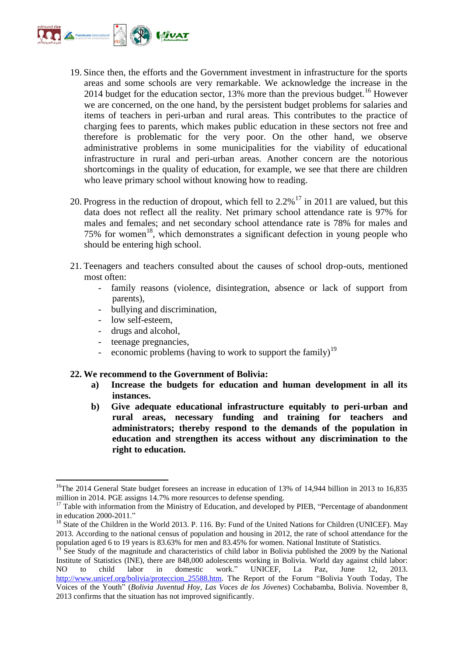

- 19. Since then, the efforts and the Government investment in infrastructure for the sports areas and some schools are very remarkable. We acknowledge the increase in the 2014 budget for the education sector, 13% more than the previous budget.<sup>16</sup> However we are concerned, on the one hand, by the persistent budget problems for salaries and items of teachers in peri-urban and rural areas. This contributes to the practice of charging fees to parents, which makes public education in these sectors not free and therefore is problematic for the very poor. On the other hand, we observe administrative problems in some municipalities for the viability of educational infrastructure in rural and peri-urban areas. Another concern are the notorious shortcomings in the quality of education, for example, we see that there are children who leave primary school without knowing how to reading.
- 20. Progress in the reduction of dropout, which fell to  $2.2\%$ <sup>17</sup> in 2011 are valued, but this data does not reflect all the reality. Net primary school attendance rate is 97% for males and females; and net secondary school attendance rate is 78% for males and 75% for women<sup>18</sup>, which demonstrates a significant defection in young people who should be entering high school.
- 21. Teenagers and teachers consulted about the causes of school drop-outs, mentioned most often:
	- family reasons (violence, disintegration, absence or lack of support from parents),
	- bullying and discrimination,
	- low self-esteem,

.

- drugs and alcohol,
- teenage pregnancies,
- economic problems (having to work to support the family)<sup>19</sup>

#### **22. We recommend to the Government of Bolivia:**

- **a) Increase the budgets for education and human development in all its instances.**
- **b) Give adequate educational infrastructure equitably to peri-urban and rural areas, necessary funding and training for teachers and administrators; thereby respond to the demands of the population in education and strengthen its access without any discrimination to the right to education.**

<sup>&</sup>lt;sup>16</sup>The 2014 General State budget foresees an increase in education of 13% of 14,944 billion in 2013 to 16,835 million in 2014. PGE assigns 14.7% more resources to defense spending.

 $17$  Table with information from the Ministry of Education, and developed by PIEB, "Percentage of abandonment in education 2000-2011."

<sup>&</sup>lt;sup>18</sup> State of the Children in the World 2013. P. 116. By: Fund of the United Nations for Children (UNICEF). May 2013. According to the national census of population and housing in 2012, the rate of school attendance for the population aged 6 to 19 years is 83.63% for men and 83.45% for women. National Institute of Statistics.

See Study of the magnitude and characteristics of child labor in Bolivia published the 2009 by the National Institute of Statistics (INE), there are 848,000 adolescents working in Bolivia. World day against child labor:<br>NO to child labor in domestic work." UNICEF. La Paz. June 12. 2013. NO to child labor in domestic work." UNICEF, La Paz, June 12, 2013. [http://www.unicef.org/bolivia/proteccion\\_25588.htm.](http://www.unicef.org/bolivia/proteccion_25588.htm) The Report of the Forum "Bolivia Youth Today, The Voices of the Youth" (*Bolivia Juventud Hoy, Las Voces de los Jóvenes*) Cochabamba, Bolivia. November 8, 2013 confirms that the situation has not improved significantly.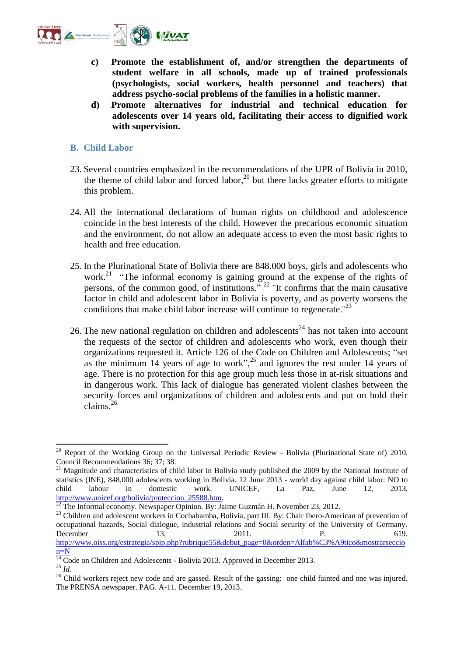

- **c) Promote the establishment of, and/or strengthen the departments of student welfare in all schools, made up of trained professionals (psychologists, social workers, health personnel and teachers) that address psycho-social problems of the families in a holistic manner.**
- **d) Promote alternatives for industrial and technical education for adolescents over 14 years old, facilitating their access to dignified work with supervision.**

#### **B. Child Labor**

- 23. Several countries emphasized in the recommendations of the UPR of Bolivia in 2010, the theme of child labor and forced labor,  $20$  but there lacks greater efforts to mitigate this problem.
- 24. All the international declarations of human rights on childhood and adolescence coincide in the best interests of the child. However the precarious economic situation and the environment, do not allow an adequate access to even the most basic rights to health and free education.
- 25. In the Plurinational State of Bolivia there are 848.000 boys, girls and adolescents who work.<sup>21</sup> "The informal economy is gaining ground at the expense of the rights of persons, of the common good, of institutions." <sup>22</sup> ¨It confirms that the main causative factor in child and adolescent labor in Bolivia is poverty, and as poverty worsens the conditions that make child labor increase will continue to regenerate.<sup> $23$ </sup>
- 26. The new national regulation on children and adolescents<sup>24</sup> has not taken into account the requests of the sector of children and adolescents who work, even though their organizations requested it. Article 126 of the Code on Children and Adolescents; "set as the minimum 14 years of age to work",<sup>25</sup> and ignores the rest under 14 years of age. There is no protection for this age group much less those in at-risk situations and in dangerous work. This lack of dialogue has generated violent clashes between the security forces and organizations of children and adolescents and put on hold their claims.<sup>26</sup>

 $20$  Report of the Working Group on the Universal Periodic Review - Bolivia (Plurinational State of) 2010. Council Recommendations 36; 37; 38.

 $21$  Magnitude and characteristics of child labor in Bolivia study published the 2009 by the National Institute of statistics (INE), 848,000 adolescents working in Bolivia. 12 June 2013 - world day against child labor: NO to child labour in domestic work. UNICEF, La Paz, June 12, 2013, [http://www.unicef.org/bolivia/proteccion\\_25588.htm.](http://www.unicef.org/bolivia/proteccion_25588.htm)

 $\frac{22}{2}$  The Informal economy. Newspaper Opinion. By: Jaime Guzmán H. November 23, 2012.

<sup>&</sup>lt;sup>23</sup> Children and adolescent workers in Cochabamba, Bolivia, part III. By: Chair Ibero-American of prevention of occupational hazards, Social dialogue, industrial relations and Social security of the University of Germany. December 13, 2011. P. 619. [http://www.oiss.org/estrategia/spip.php?rubrique55&debut\\_page=0&orden=Alfab%C3%A9tico&mostrarseccio](http://www.oiss.org/estrategia/spip.php?rubrique55&debut_page=0&orden=Alfab%C3%A9tico&mostrarseccion=N) [n=N](http://www.oiss.org/estrategia/spip.php?rubrique55&debut_page=0&orden=Alfab%C3%A9tico&mostrarseccion=N)

 $\frac{24}{24}$  Code on Children and Adolescents - Bolivia 2013. Approved in December 2013.

<sup>25</sup> *Id*.

<sup>&</sup>lt;sup>26</sup> Child workers reject new code and are gassed. Result of the gassing: one child fainted and one was injured. The PRENSA newspaper. PAG. A-11. December 19, 2013.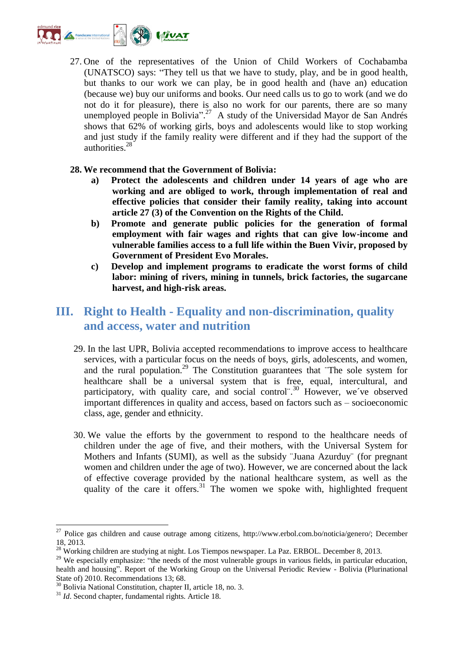

27. One of the representatives of the Union of Child Workers of Cochabamba (UNATSCO) says: "They tell us that we have to study, play, and be in good health, but thanks to our work we can play, be in good health and (have an) education (because we) buy our uniforms and books. Our need calls us to go to work (and we do not do it for pleasure), there is also no work for our parents, there are so many unemployed people in Bolivia".<sup>27</sup> A study of the Universidad Mayor de San Andrés shows that 62% of working girls, boys and adolescents would like to stop working and just study if the family reality were different and if they had the support of the authorities.<sup>28</sup>

#### **28. We recommend that the Government of Bolivia:**

- **a) Protect the adolescents and children under 14 years of age who are working and are obliged to work, through implementation of real and effective policies that consider their family reality, taking into account article 27 (3) of the Convention on the Rights of the Child.**
- **b) Promote and generate public policies for the generation of formal employment with fair wages and rights that can give low-income and vulnerable families access to a full life within the Buen Vivir, proposed by Government of President Evo Morales.**
- **c) Develop and implement programs to eradicate the worst forms of child labor: mining of rivers, mining in tunnels, brick factories, the sugarcane harvest, and high-risk areas.**

# **III. Right to Health - Equality and non-discrimination, quality and access, water and nutrition**

- 29. In the last UPR, Bolivia accepted recommendations to improve access to healthcare services, with a particular focus on the needs of boys, girls, adolescents, and women, and the rural population.<sup>29</sup> The Constitution guarantees that  $\overline{P}$  The sole system for healthcare shall be a universal system that is free, equal, intercultural, and participatory, with quality care, and social control<sup>".30</sup> However, we've observed important differences in quality and access, based on factors such as – socioeconomic class, age, gender and ethnicity.
- 30. We value the efforts by the government to respond to the healthcare needs of children under the age of five, and their mothers, with the Universal System for Mothers and Infants (SUMI), as well as the subsidy ¨Juana Azurduy¨ (for pregnant women and children under the age of two). However, we are concerned about the lack of effective coverage provided by the national healthcare system, as well as the quality of the care it offers. $31$  The women we spoke with, highlighted frequent

 $27$  Police gas children and cause outrage among citizens, http://www.erbol.com.bo/noticia/genero/; December 18, 2013.

 $^{28}$  Working children are studying at night. Los Tiempos newspaper. La Paz. ERBOL. December 8, 2013.

<sup>&</sup>lt;sup>29</sup> We especially emphasize: "the needs of the most vulnerable groups in various fields, in particular education, health and housing". Report of the Working Group on the Universal Periodic Review - Bolivia (Plurinational State of) 2010. Recommendations 13; 68.

<sup>&</sup>lt;sup>30</sup> Bolivia National Constitution, chapter II, article 18, no. 3.

<sup>31</sup> *Id*. Second chapter, fundamental rights. Article 18.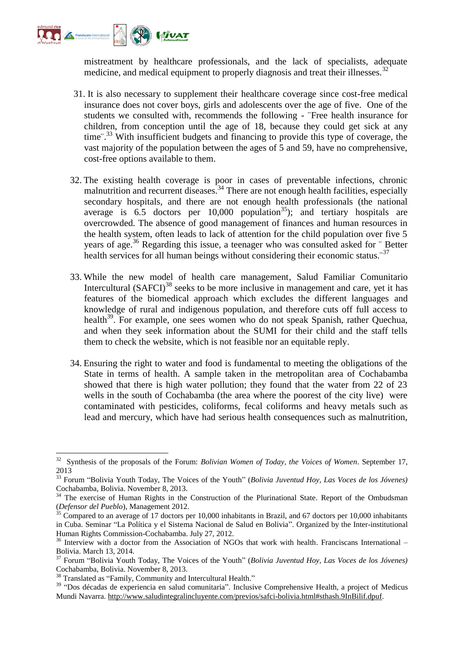

mistreatment by healthcare professionals, and the lack of specialists, adequate medicine, and medical equipment to properly diagnosis and treat their illnesses.<sup>32</sup>

- 31. It is also necessary to supplement their healthcare coverage since cost-free medical insurance does not cover boys, girls and adolescents over the age of five. One of the students we consulted with, recommends the following - ¨Free health insurance for children, from conception until the age of 18, because they could get sick at any time<sup>".33</sup> With insufficient budgets and financing to provide this type of coverage, the vast majority of the population between the ages of 5 and 59, have no comprehensive, cost-free options available to them.
- 32. The existing health coverage is poor in cases of preventable infections, chronic malnutrition and recurrent diseases.<sup>34</sup> There are not enough health facilities, especially secondary hospitals, and there are not enough health professionals (the national average is  $6.5$  doctors per  $10,000$  population<sup>35</sup>); and tertiary hospitals are overcrowded. The absence of good management of finances and human resources in the health system, often leads to lack of attention for the child population over five 5 years of age.<sup>36</sup> Regarding this issue, a teenager who was consulted asked for "Better" health services for all human beings without considering their economic status.<sup>37</sup>
- 33. While the new model of health care management, Salud Familiar Comunitario Intercultural (SAFCI)<sup>38</sup> seeks to be more inclusive in management and care, yet it has features of the biomedical approach which excludes the different languages and knowledge of rural and indigenous population, and therefore cuts off full access to health<sup>39</sup>. For example, one sees women who do not speak Spanish, rather Quechua, and when they seek information about the SUMI for their child and the staff tells them to check the website, which is not feasible nor an equitable reply.
- 34. Ensuring the right to water and food is fundamental to meeting the obligations of the State in terms of health. A sample taken in the metropolitan area of Cochabamba showed that there is high water pollution; they found that the water from 22 of 23 wells in the south of Cochabamba (the area where the poorest of the city live) were contaminated with pesticides, coliforms, fecal coliforms and heavy metals such as lead and mercury, which have had serious health consequences such as malnutrition,

<sup>32</sup> Synthesis of the proposals of the Forum: *Bolivian Women of Today, the Voices of Women*. September 17, 2013

<sup>33</sup> Forum "Bolivia Youth Today, The Voices of the Youth" (*Bolivia Juventud Hoy, Las Voces de los Jóvenes)*  Cochabamba, Bolivia. November 8, 2013.

<sup>&</sup>lt;sup>34</sup> The exercise of Human Rights in the Construction of the Plurinational State. Report of the Ombudsman (*Defensor del Pueblo*), Management 2012.

 $35$  Compared to an average of 17 doctors per 10,000 inhabitants in Brazil, and 67 doctors per 10,000 inhabitants in Cuba. Seminar "La Política y el Sistema Nacional de Salud en Bolivia". Organized by the Inter-institutional Human Rights Commission-Cochabamba. July 27, 2012.

<sup>&</sup>lt;sup>36</sup> Interview with a doctor from the Association of NGOs that work with health. Franciscans International – Bolivia. March 13, 2014.

<sup>37</sup> Forum "Bolivia Youth Today, The Voices of the Youth" (*Bolivia Juventud Hoy, Las Voces de los Jóvenes)*  Cochabamba, Bolivia. November 8, 2013.

<sup>&</sup>lt;sup>38</sup> Translated as "Family, Community and Intercultural Health."

<sup>&</sup>lt;sup>39</sup> "Dos décadas de experiencia en salud comunitaria". Inclusive Comprehensive Health, a project of Medicus Mundi Navarra. [http://www.saludintegralincluyente.com/previos/safci-bolivia.html#sthash.9InBilif.dpuf.](http://www.saludintegralincluyente.com/previos/safci-bolivia.html#sthash.9InBilif.dpuf)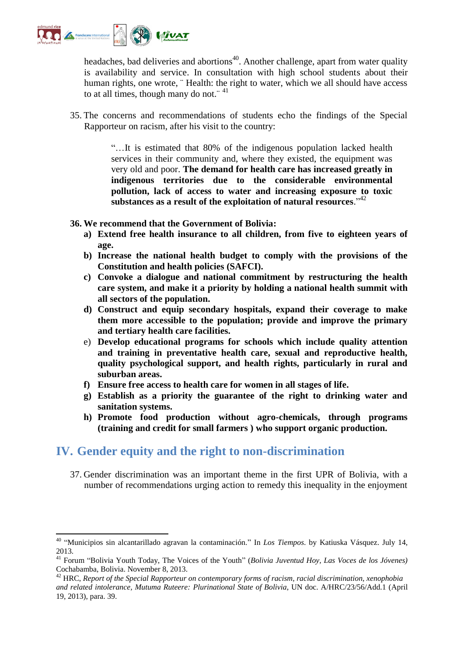

.

headaches, bad deliveries and abortions<sup>40</sup>. Another challenge, apart from water quality is availability and service. In consultation with high school students about their human rights, one wrote, "Health: the right to water, which we all should have access to at all times, though many do not.<sup>"41</sup>

35. The concerns and recommendations of students echo the findings of the Special Rapporteur on racism, after his visit to the country:

> "…It is estimated that 80% of the indigenous population lacked health services in their community and, where they existed, the equipment was very old and poor. **The demand for health care has increased greatly in indigenous territories due to the considerable environmental pollution, lack of access to water and increasing exposure to toxic substances as a result of the exploitation of natural resources**." 42

**36. We recommend that the Government of Bolivia:**

- **a) Extend free health insurance to all children, from five to eighteen years of age.**
- **b) Increase the national health budget to comply with the provisions of the Constitution and health policies (SAFCI).**
- **c) Convoke a dialogue and national commitment by restructuring the health care system, and make it a priority by holding a national health summit with all sectors of the population.**
- **d) Construct and equip secondary hospitals, expand their coverage to make them more accessible to the population; provide and improve the primary and tertiary health care facilities.**
- e) **Develop educational programs for schools which include quality attention and training in preventative health care, sexual and reproductive health, quality psychological support, and health rights, particularly in rural and suburban areas.**
- **f) Ensure free access to health care for women in all stages of life.**
- **g) Establish as a priority the guarantee of the right to drinking water and sanitation systems.**
- **h) Promote food production without agro-chemicals, through programs (training and credit for small farmers ) who support organic production.**

### **IV. Gender equity and the right to non-discrimination**

37. Gender discrimination was an important theme in the first UPR of Bolivia, with a number of recommendations urging action to remedy this inequality in the enjoyment

<sup>40</sup> "Municipios sin alcantarillado agravan la contaminación." In *Los Tiempos*. by Katiuska Vásquez. July 14, 2013.

<sup>&</sup>lt;sup>41</sup> Forum "Bolivia Youth Today, The Voices of the Youth" (*Bolivia Juventud Hoy, Las Voces de los Jóvenes*) Cochabamba, Bolivia. November 8, 2013.

<sup>42</sup> HRC, *Report of the Special Rapporteur on contemporary forms of racism, racial discrimination, xenophobia and related intolerance, Mutuma Ruteere: Plurinational State of Bolivia*, UN doc. A/HRC/23/56/Add.1 (April 19, 2013), para. 39.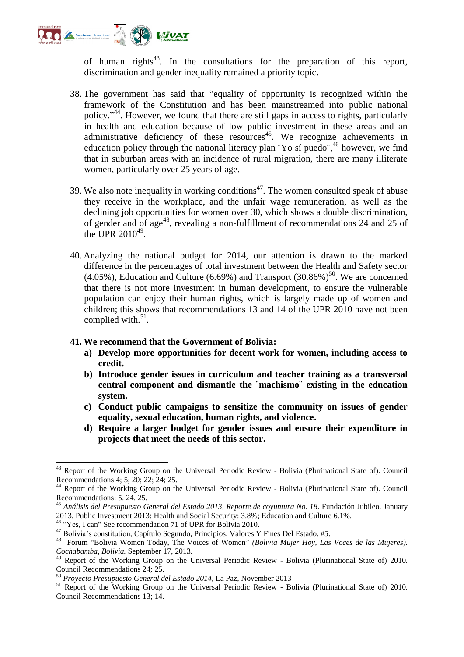

of human rights<sup>43</sup>. In the consultations for the preparation of this report, discrimination and gender inequality remained a priority topic.

- 38. The government has said that "equality of opportunity is recognized within the framework of the Constitution and has been mainstreamed into public national policy." 44 . However, we found that there are still gaps in access to rights, particularly in health and education because of low public investment in these areas and an administrative deficiency of these resources<sup>45</sup>. We recognize achievements in education policy through the national literacy plan "Yo sí puedo",<sup>46</sup> however, we find that in suburban areas with an incidence of rural migration, there are many illiterate women, particularly over 25 years of age.
- 39. We also note inequality in working conditions<sup>47</sup>. The women consulted speak of abuse they receive in the workplace, and the unfair wage remuneration, as well as the declining job opportunities for women over 30, which shows a double discrimination, of gender and of age<sup>48</sup>, revealing a non-fulfillment of recommendations 24 and 25 of the UPR  $2010^{49}$ .
- 40. Analyzing the national budget for 2014, our attention is drawn to the marked difference in the percentages of total investment between the Health and Safety sector  $(4.05\%)$ , Education and Culture  $(6.69\%)$  and Transport  $(30.86\%)$ <sup>50</sup>. We are concerned that there is not more investment in human development, to ensure the vulnerable population can enjoy their human rights, which is largely made up of women and children; this shows that recommendations 13 and 14 of the UPR 2010 have not been complied with. $51$ .

#### **41. We recommend that the Government of Bolivia:**

- **a) Develop more opportunities for decent work for women, including access to credit.**
- **b) Introduce gender issues in curriculum and teacher training as a transversal central component and dismantle the ¨machismo¨ existing in the education system.**
- **c) Conduct public campaigns to sensitize the community on issues of gender equality, sexual education, human rights, and violence.**
- **d) Require a larger budget for gender issues and ensure their expenditure in projects that meet the needs of this sector.**

<sup>46</sup> "Yes, I can" See recommendation 71 of UPR for Bolivia 2010.

<sup>&</sup>lt;sup>43</sup> Report of the Working Group on the Universal Periodic Review - Bolivia (Plurinational State of). Council Recommendations 4; 5; 20; 22; 24; 25.

<sup>44</sup> Report of the Working Group on the Universal Periodic Review - Bolivia (Plurinational State of). Council Recommendations: 5. 24. 25.

<sup>45</sup> *Análisis del Presupuesto General del Estado 2013, Reporte de coyuntura No. 18*. Fundación Jubileo. January 2013. Public Investment 2013: Health and Social Security: 3.8%; Education and Culture 6.1%.

<sup>47</sup> Bolivia's constitution, Capítulo Segundo, Principios, Valores Y Fines Del Estado. #5.

<sup>48</sup> Forum "Bolivia Women Today, The Voices of Women" *(Bolivia Mujer Hoy, Las Voces de las Mujeres). Cochabamba, Bolivia.* September 17, 2013.

<sup>49</sup> Report of the Working Group on the Universal Periodic Review - Bolivia (Plurinational State of) 2010. Council Recommendations 24; 25.

<sup>50</sup> *Proyecto Presupuesto General del Estado 2014,* La Paz, November 2013

<sup>&</sup>lt;sup>51</sup> Report of the Working Group on the Universal Periodic Review - Bolivia (Plurinational State of) 2010. Council Recommendations 13; 14.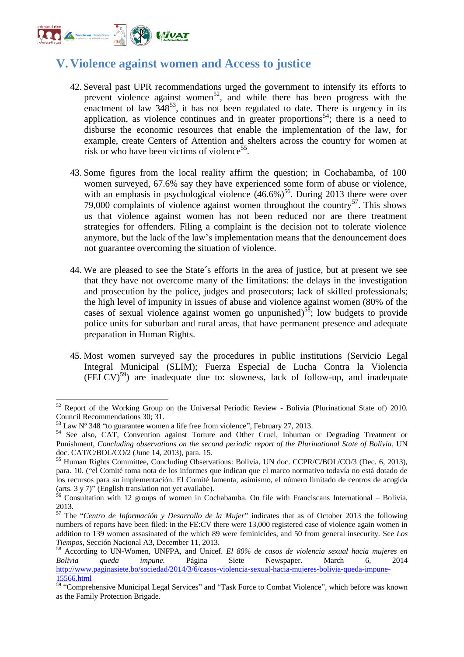

## **V. Violence against women and Access to justice**

- 42. Several past UPR recommendations urged the government to intensify its efforts to prevent violence against women<sup>52</sup>, and while there has been progress with the enactment of law  $348^{53}$ , it has not been regulated to date. There is urgency in its application, as violence continues and in greater proportions<sup>54</sup>; there is a need to disburse the economic resources that enable the implementation of the law, for example, create Centers of Attention and shelters across the country for women at risk or who have been victims of violence<sup>55</sup>.
- 43. Some figures from the local reality affirm the question; in Cochabamba, of 100 women surveyed, 67.6% say they have experienced some form of abuse or violence, with an emphasis in psychological violence  $(46.6\%)^{56}$ . During 2013 there were over 79,000 complaints of violence against women throughout the country<sup>57</sup>. This shows us that violence against women has not been reduced nor are there treatment strategies for offenders. Filing a complaint is the decision not to tolerate violence anymore, but the lack of the law's implementation means that the denouncement does not guarantee overcoming the situation of violence.
- 44. We are pleased to see the State´s efforts in the area of justice, but at present we see that they have not overcome many of the limitations: the delays in the investigation and prosecution by the police, judges and prosecutors; lack of skilled professionals; the high level of impunity in issues of abuse and violence against women (80% of the cases of sexual violence against women go unpunished)<sup>58</sup>; low budgets to provide police units for suburban and rural areas, that have permanent presence and adequate preparation in Human Rights.
- 45. Most women surveyed say the procedures in public institutions (Servicio Legal Integral Municipal (SLIM); Fuerza Especial de Lucha Contra la Violencia  $(FELCV)^{59}$  are inadequate due to: slowness, lack of follow-up, and inadequate

<sup>&</sup>lt;sup>52</sup> Report of the Working Group on the Universal Periodic Review - Bolivia (Plurinational State of) 2010. Council Recommendations 30; 31.

 $53$  Law N° 348 "to guarantee women a life free from violence", February 27, 2013.

<sup>54</sup> See also, CAT, Convention against Torture and Other Cruel, Inhuman or Degrading Treatment or Punishment, *Concluding observations on the second periodic report of the Plurinational State of Bolivia*, UN doc. CAT/C/BOL/CO/2 (June 14, 2013), para. 15.

<sup>&</sup>lt;sup>55</sup> Human Rights Committee, Concluding Observations: Bolivia, UN doc. CCPR/C/BOL/CO/3 (Dec. 6, 2013), para. 10. ("el Comité toma nota de los informes que indican que el marco normativo todavía no está dotado de los recursos para su implementación. El Comité lamenta, asimismo, el número limitado de centros de acogida (arts. 3 y 7)" (English translation not yet availabe).

<sup>&</sup>lt;sup>56</sup> Consultation with 12 groups of women in Cochabamba. On file with Franciscans International – Bolivia, 2013.

<sup>57</sup> The "*Centro de Información y Desarrollo de la Mujer*" indicates that as of October 2013 the following numbers of reports have been filed: in the FE:CV there were 13,000 registered case of violence again women in addition to 139 women assasinated of the which 89 were feminicides, and 50 from general insecurity. See *Los Tiempos*, Sección Nacional A3, December 11, 2013.

<sup>58</sup> According to UN-Women, UNFPA, and Unicef. *El 80% de casos de violencia sexual hacia mujeres en Bolivia queda impune.* Página Siete Newspaper. March 6, 2014 [http://www.paginasiete.bo/sociedad/2014/3/6/casos-violencia-sexual-hacia-mujeres-bolivia-queda-impune-](http://www.paginasiete.bo/sociedad/2014/3/6/casos-violencia-sexual-hacia-mujeres-bolivia-queda-impune-15566.html)[15566.html](http://www.paginasiete.bo/sociedad/2014/3/6/casos-violencia-sexual-hacia-mujeres-bolivia-queda-impune-15566.html)

<sup>&</sup>lt;sup>59</sup> "Comprehensive Municipal Legal Services" and "Task Force to Combat Violence", which before was known as the Family Protection Brigade.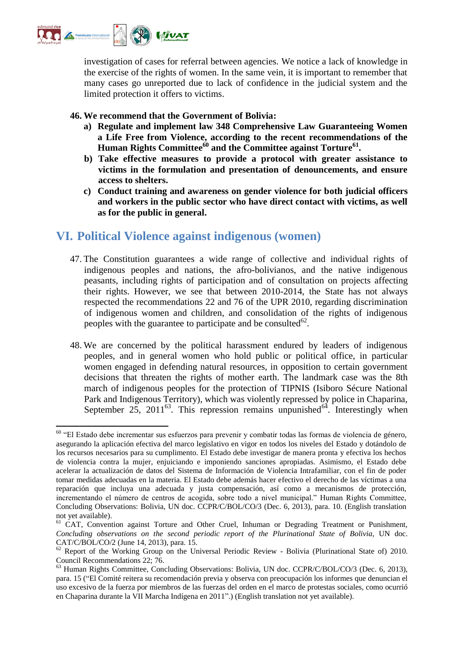

investigation of cases for referral between agencies. We notice a lack of knowledge in the exercise of the rights of women. In the same vein, it is important to remember that many cases go unreported due to lack of confidence in the judicial system and the limited protection it offers to victims.

#### **46. We recommend that the Government of Bolivia:**

- **a) Regulate and implement law 348 Comprehensive Law Guaranteeing Women a Life Free from Violence, according to the recent recommendations of the Human Rights Committee<sup>60</sup> and the Committee against Torture<sup>61</sup> .**
- **b) Take effective measures to provide a protocol with greater assistance to victims in the formulation and presentation of denouncements, and ensure access to shelters.**
- **c) Conduct training and awareness on gender violence for both judicial officers and workers in the public sector who have direct contact with victims, as well as for the public in general.**

## **VI. Political Violence against indigenous (women)**

- 47. The Constitution guarantees a wide range of collective and individual rights of indigenous peoples and nations, the afro-bolivianos, and the native indigenous peasants, including rights of participation and of consultation on projects affecting their rights. However, we see that between 2010-2014, the State has not always respected the recommendations 22 and 76 of the UPR 2010, regarding discrimination of indigenous women and children, and consolidation of the rights of indigenous peoples with the guarantee to participate and be consulted $62$ .
- 48. We are concerned by the political harassment endured by leaders of indigenous peoples, and in general women who hold public or political office, in particular women engaged in defending natural resources, in opposition to certain government decisions that threaten the rights of mother earth. The landmark case was the 8th march of indigenous peoples for the protection of TIPNIS (Isiboro Sécure National Park and Indigenous Territory), which was violently repressed by police in Chaparina, September  $25$ ,  $2011^{63}$ . This repression remains unpunished<sup>64</sup>. Interestingly when

<sup>60</sup> "El Estado debe incrementar sus esfuerzos para prevenir y combatir todas las formas de violencia de género, asegurando la aplicación efectiva del marco legislativo en vigor en todos los niveles del Estado y dotándolo de los recursos necesarios para su cumplimento. El Estado debe investigar de manera pronta y efectiva los hechos de violencia contra la mujer, enjuiciando e imponiendo sanciones apropiadas. Asimismo, el Estado debe acelerar la actualización de datos del Sistema de Información de Violencia Intrafamiliar, con el fin de poder tomar medidas adecuadas en la materia. El Estado debe además hacer efectivo el derecho de las víctimas a una reparación que incluya una adecuada y justa compensación, así como a mecanismos de protección, incrementando el número de centros de acogida, sobre todo a nivel municipal." Human Rights Committee, Concluding Observations: Bolivia, UN doc. CCPR/C/BOL/CO/3 (Dec. 6, 2013), para. 10. (English translation not yet available).

<sup>&</sup>lt;sup>61</sup> CAT, Convention against Torture and Other Cruel, Inhuman or Degrading Treatment or Punishment, *Concluding observations on the second periodic report of the Plurinational State of Bolivia*, UN doc. CAT/C/BOL/CO/2 (June 14, 2013), para. 15.

<sup>&</sup>lt;sup>62</sup> Report of the Working Group on the Universal Periodic Review - Bolivia (Plurinational State of) 2010. Council Recommendations 22; 76.

<sup>63</sup> Human Rights Committee, Concluding Observations: Bolivia, UN doc. CCPR/C/BOL/CO/3 (Dec. 6, 2013), para. 15 ("El Comité reitera su recomendación previa y observa con preocupación los informes que denuncian el uso excesivo de la fuerza por miembros de las fuerzas del orden en el marco de protestas sociales, como ocurrió en Chaparina durante la VII Marcha Indígena en 2011".) (English translation not yet available).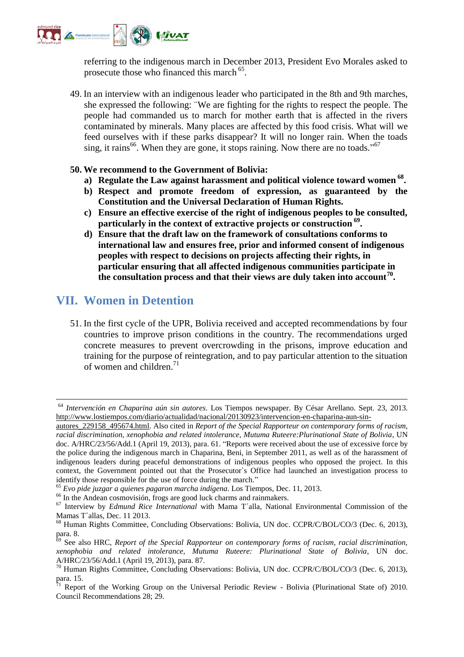

referring to the indigenous march in December 2013, President Evo Morales asked to prosecute those who financed this march <sup>65</sup>.

49. In an interview with an indigenous leader who participated in the 8th and 9th marches, she expressed the following: ¨We are fighting for the rights to respect the people. The people had commanded us to march for mother earth that is affected in the rivers contaminated by minerals. Many places are affected by this food crisis. What will we feed ourselves with if these parks disappear? It will no longer rain. When the toads sing, it rains<sup>66</sup>. When they are gone, it stops raining. Now there are no toads."<sup>67</sup>

#### **50. We recommend to the Government of Bolivia:**

- **a) Regulate the Law against harassment and political violence toward women <sup>68</sup> .**
- **b) Respect and promote freedom of expression, as guaranteed by the Constitution and the Universal Declaration of Human Rights.**
- **c) Ensure an effective exercise of the right of indigenous peoples to be consulted, particularly in the context of extractive projects or construction <sup>69</sup> .**
- **d) Ensure that the draft law on the framework of consultations conforms to international law and ensures free, prior and informed consent of indigenous peoples with respect to decisions on projects affecting their rights, in particular ensuring that all affected indigenous communities participate in the consultation process and that their views are duly taken into account<sup>70</sup> .**

## **VII. Women in Detention**

1

51. In the first cycle of the UPR, Bolivia received and accepted recommendations by four countries to improve prison conditions in the country. The recommendations urged concrete measures to prevent overcrowding in the prisons, improve education and training for the purpose of reintegration, and to pay particular attention to the situation of women and children. 71

<sup>64</sup> *Intervención en Chaparina aún sin autores*. Los Tiempos newspaper. By César Arellano. Sept. 23, 2013. [http://www.lostiempos.com/diario/actualidad/nacional/20130923/intervencion-en-chaparina-aun-sin-](http://www.lostiempos.com/diario/actualidad/nacional/20130923/intervencion-en-chaparina-aun-sin-autores_229158_495674.html)

[autores\\_229158\\_495674.html.](http://www.lostiempos.com/diario/actualidad/nacional/20130923/intervencion-en-chaparina-aun-sin-autores_229158_495674.html) Also cited in *Report of the Special Rapporteur on contemporary forms of racism, racial discrimination, xenophobia and related intolerance, Mutuma Ruteere:Plurinational State of Bolivia*, UN doc. A/HRC/23/56/Add.1 (April 19, 2013), para. 61. "Reports were received about the use of excessive force by the police during the indigenous march in Chaparina, Beni, in September 2011, as well as of the harassment of indigenous leaders during peaceful demonstrations of indigenous peoples who opposed the project. In this context, the Government pointed out that the Prosecutor`s Office had launched an investigation process to identify those responsible for the use of force during the march."

<sup>65</sup> *Evo pide juzgar a quienes pagaron marcha indígena*. Los Tiempos, Dec. 11, 2013.

<sup>&</sup>lt;sup>66</sup> In the Andean cosmovisión, frogs are good luck charms and rainmakers.

<sup>67</sup> Interview by *Edmund Rice International* with Mama T´alla, National Environmental Commission of the Mamas T´allas, Dec. 11 2013.

<sup>68</sup> Human Rights Committee, Concluding Observations: Bolivia, UN doc. CCPR/C/BOL/CO/3 (Dec. 6, 2013), para. 8.

<sup>69</sup> See also HRC, *Report of the Special Rapporteur on contemporary forms of racism, racial discrimination, xenophobia and related intolerance, Mutuma Ruteere: Plurinational State of Bolivia*, UN doc. A/HRC/23/56/Add.1 (April 19, 2013), para. 87.

<sup>70</sup> Human Rights Committee, Concluding Observations: Bolivia, UN doc. CCPR/C/BOL/CO/3 (Dec. 6, 2013), para. 15.

 $\tilde{7}$ <sup>1</sup> Report of the Working Group on the Universal Periodic Review - Bolivia (Plurinational State of) 2010. Council Recommendations 28; 29.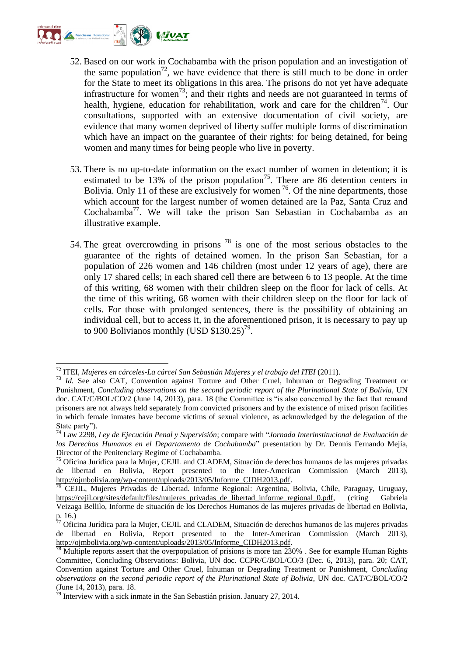

- 52. Based on our work in Cochabamba with the prison population and an investigation of the same population<sup>72</sup>, we have evidence that there is still much to be done in order for the State to meet its obligations in this area. The prisons do not yet have adequate infrastructure for women<sup>73</sup>; and their rights and needs are not guaranteed in terms of health, hygiene, education for rehabilitation, work and care for the children<sup>74</sup>. Our consultations, supported with an extensive documentation of civil society, are evidence that many women deprived of liberty suffer multiple forms of discrimination which have an impact on the guarantee of their rights: for being detained, for being women and many times for being people who live in poverty.
- 53. There is no up-to-date information on the exact number of women in detention; it is estimated to be 13% of the prison population<sup>75</sup>. There are 86 detention centers in Bolivia. Only 11 of these are exclusively for women  $^{76}$ . Of the nine departments, those which account for the largest number of women detained are la Paz, Santa Cruz and Cochabamba<sup>77</sup>. We will take the prison San Sebastian in Cochabamba as an illustrative example.
- 54. The great overcrowding in prisons  $^{78}$  is one of the most serious obstacles to the guarantee of the rights of detained women. In the prison San Sebastian, for a population of 226 women and 146 children (most under 12 years of age), there are only 17 shared cells; in each shared cell there are between 6 to 13 people. At the time of this writing, 68 women with their children sleep on the floor for lack of cells. At the time of this writing, 68 women with their children sleep on the floor for lack of cells. For those with prolonged sentences, there is the possibility of obtaining an individual cell, but to access it, in the aforementioned prison, it is necessary to pay up to 900 Bolivianos monthly (USD  $$130.25$ )<sup>79</sup>.

<sup>.</sup> <sup>72</sup> ITEI, *Mujeres en cárceles-La cárcel San Sebastián Mujeres y el trabajo del ITEI* (2011).

<sup>&</sup>lt;sup>73</sup> *Id.* See also CAT, Convention against Torture and Other Cruel, Inhuman or Degrading Treatment or Punishment, *Concluding observations on the second periodic report of the Plurinational State of Bolivia*, UN doc. CAT/C/BOL/CO/2 (June 14, 2013), para. 18 (the Committee is "is also concerned by the fact that remand prisoners are not always held separately from convicted prisoners and by the existence of mixed prison facilities in which female inmates have become victims of sexual violence, as acknowledged by the delegation of the State party").

<sup>74</sup> Law 2298, *Ley de Ejecución Penal y Supervisión*; compare with "*Jornada Interinstitucional de Evaluación de los Derechos Humanos en el Departamento de Cochabamba*" presentation by Dr. Dennis Fernando Mejía, Director of the Penitenciary Regime of Cochabamba.

<sup>75</sup> Oficina Jurídica para la Mujer, CEJIL and CLADEM, Situación de derechos humanos de las mujeres privadas de libertad en Bolivia, Report presented to the Inter-American Commission (March 2013), [http://ojmbolivia.org/wp-content/uploads/2013/05/Informe\\_CIDH2013.pdf.](http://ojmbolivia.org/wp-content/uploads/2013/05/Informe_CIDH2013.pdf)

<sup>&</sup>lt;sup>76</sup> CEJIL, Mujeres Privadas de Libertad. Informe Regional: Argentina, Bolivia, Chile, Paraguay, Uruguay, [https://cejil.org/sites/default/files/mujeres\\_privadas\\_de\\_libertad\\_informe\\_regional\\_0.pdf,](https://cejil.org/sites/default/files/mujeres_privadas_de_libertad_informe_regional_0.pdf) (citing Gabriela Veizaga Bellilo, Informe de situación de los Derechos Humanos de las mujeres privadas de libertad en Bolivia,  $\frac{p}{77}$ , 16.)

 $^{77}$  Oficina Jurídica para la Mujer, CEJIL and CLADEM, Situación de derechos humanos de las mujeres privadas de libertad en Bolivia, Report presented to the Inter-American Commission (March 2013), [http://ojmbolivia.org/wp-content/uploads/2013/05/Informe\\_CIDH2013.pdf.](http://ojmbolivia.org/wp-content/uploads/2013/05/Informe_CIDH2013.pdf)

 $8$  Multiple reports assert that the overpopulation of prisions is more tan 230%. See for example Human Rights Committee, Concluding Observations: Bolivia, UN doc. CCPR/C/BOL/CO/3 (Dec. 6, 2013), para. 20; CAT, Convention against Torture and Other Cruel, Inhuman or Degrading Treatment or Punishment, *Concluding observations on the second periodic report of the Plurinational State of Bolivia*, UN doc. CAT/C/BOL/CO/2 (June 14, 2013), para. 18.

 $^{79}$  Interview with a sick inmate in the San Sebastián prision. January 27, 2014.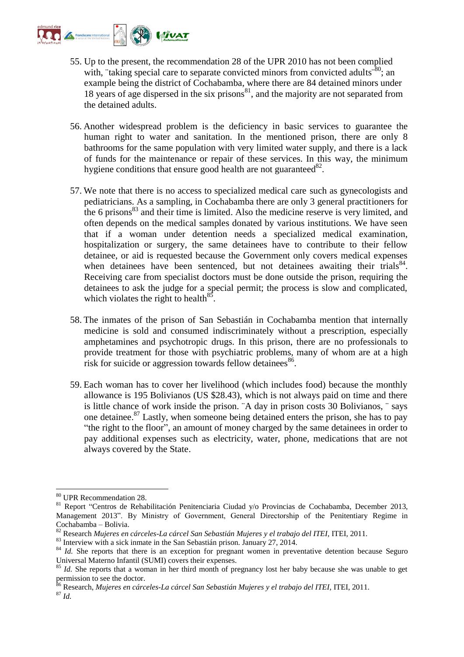

- 55. Up to the present, the recommendation 28 of the UPR 2010 has not been complied with, "taking special care to separate convicted minors from convicted adults<sup> $-80$ </sup>; an example being the district of Cochabamba, where there are 84 detained minors under 18 years of age dispersed in the six prisons $^{81}$ , and the majority are not separated from the detained adults.
- 56. Another widespread problem is the deficiency in basic services to guarantee the human right to water and sanitation. In the mentioned prison, there are only 8 bathrooms for the same population with very limited water supply, and there is a lack of funds for the maintenance or repair of these services. In this way, the minimum hygiene conditions that ensure good health are not guaranteed $^{82}$ .
- 57. We note that there is no access to specialized medical care such as gynecologists and pediatricians. As a sampling, in Cochabamba there are only 3 general practitioners for the 6 prisons $83$  and their time is limited. Also the medicine reserve is very limited, and often depends on the medical samples donated by various institutions. We have seen that if a woman under detention needs a specialized medical examination, hospitalization or surgery, the same detainees have to contribute to their fellow detainee, or aid is requested because the Government only covers medical expenses when detainees have been sentenced, but not detainees awaiting their trials $84$ . Receiving care from specialist doctors must be done outside the prison, requiring the detainees to ask the judge for a special permit; the process is slow and complicated, which violates the right to health<sup>85</sup>.
- 58. The inmates of the prison of San Sebastián in Cochabamba mention that internally medicine is sold and consumed indiscriminately without a prescription, especially amphetamines and psychotropic drugs. In this prison, there are no professionals to provide treatment for those with psychiatric problems, many of whom are at a high risk for suicide or aggression towards fellow detainees<sup>86</sup>.
- 59. Each woman has to cover her livelihood (which includes food) because the monthly allowance is 195 Bolivianos (US \$28.43), which is not always paid on time and there is little chance of work inside the prison. ¨A day in prison costs 30 Bolivianos, ¨ says one detainee. <sup>87</sup> Lastly, when someone being detained enters the prison, she has to pay "the right to the floor", an amount of money charged by the same detainees in order to pay additional expenses such as electricity, water, phone, medications that are not always covered by the State.

<sup>80</sup> UPR Recommendation 28.

<sup>&</sup>lt;sup>81</sup> Report "Centros de Rehabilitación Penitenciaria Ciudad y/o Provincias de Cochabamba, December 2013, Management 2013". By Ministry of Government, General Directorship of the Penitentiary Regime in Cochabamba – Bolivia.

<sup>82</sup> Research *Mujeres en cárceles-La cárcel San Sebastián Mujeres y el trabajo del ITEI,* ITEI, 2011.

<sup>&</sup>lt;sup>83</sup> Interview with a sick inmate in the San Sebastián prison. January 27, 2014.

<sup>&</sup>lt;sup>84</sup> *Id.* She reports that there is an exception for pregnant women in preventative detention because Seguro Universal Materno Infantil (SUMI) covers their expenses.

<sup>&</sup>lt;sup>85</sup> *Id.* She reports that a woman in her third month of pregnancy lost her baby because she was unable to get permission to see the doctor.

<sup>86</sup> Research, *Mujeres en cárceles-La cárcel San Sebastián Mujeres y el trabajo del ITEI,* ITEI, 2011. <sup>87</sup> *Id.*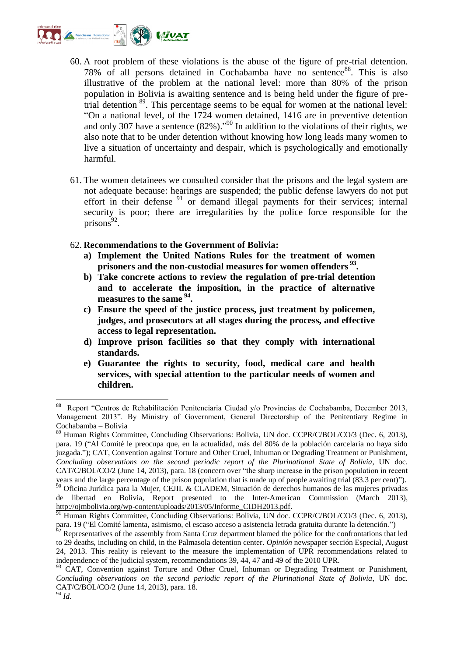

- 60. A root problem of these violations is the abuse of the figure of pre-trial detention. 78% of all persons detained in Cochabamba have no sentence<sup>88</sup>. This is also illustrative of the problem at the national level: more than 80% of the prison population in Bolivia is awaiting sentence and is being held under the figure of pretrial detention <sup>89</sup>. This percentage seems to be equal for women at the national level: "On a national level, of the 1724 women detained, 1416 are in preventive detention and only 307 have a sentence  $(82\%)$ ."<sup>90</sup> In addition to the violations of their rights, we also note that to be under detention without knowing how long leads many women to live a situation of uncertainty and despair, which is psychologically and emotionally harmful.
- 61. The women detainees we consulted consider that the prisons and the legal system are not adequate because: hearings are suspended; the public defense lawyers do not put effort in their defense  $91$  or demand illegal payments for their services; internal security is poor; there are irregularities by the police force responsible for the  $prisons<sup>92</sup>$ .
- 62. **Recommendations to the Government of Bolivia:** 
	- **a) Implement the United Nations Rules for the treatment of women prisoners and the non-custodial measures for women offenders <sup>93</sup> .**
	- **b) Take concrete actions to review the regulation of pre-trial detention and to accelerate the imposition, in the practice of alternative measures to the same <sup>94</sup> .**
	- **c) Ensure the speed of the justice process, just treatment by policemen, judges, and prosecutors at all stages during the process, and effective access to legal representation.**
	- **d) Improve prison facilities so that they comply with international standards.**
	- **e) Guarantee the rights to security, food, medical care and health services, with special attention to the particular needs of women and children.**

<sup>88</sup> Report "Centros de Rehabilitación Penitenciaria Ciudad y/o Provincias de Cochabamba, December 2013, Management 2013". By Ministry of Government, General Directorship of the Penitentiary Regime in Cochabamba – Bolivia

<sup>89</sup> Human Rights Committee, Concluding Observations: Bolivia, UN doc. CCPR/C/BOL/CO/3 (Dec. 6, 2013), para. 19 ("Al Comité le preocupa que, en la actualidad, más del 80% de la población carcelaria no haya sido juzgada."); CAT, Convention against Torture and Other Cruel, Inhuman or Degrading Treatment or Punishment, *Concluding observations on the second periodic report of the Plurinational State of Bolivia*, UN doc. CAT/C/BOL/CO/2 (June 14, 2013), para. 18 (concern over "the sharp increase in the prison population in recent years and the large percentage of the prison population that is made up of people awaiting trial (83.3 per cent)").  $^{50}$  Oficina Jurídica para la Mujer, CEJIL & CLADEM, Situación de derechos humanos de las mujeres privadas de libertad en Bolivia, Report presented to the Inter-American Commission (March 2013), [http://ojmbolivia.org/wp-content/uploads/2013/05/Informe\\_CIDH2013.pdf.](http://ojmbolivia.org/wp-content/uploads/2013/05/Informe_CIDH2013.pdf)

<sup>&</sup>lt;sup>91</sup> Human Rights Committee, Concluding Observations: Bolivia, UN doc. CCPR/C/BOL/CO/3 (Dec. 6, 2013), para. 19 ("El Comité lamenta, asimismo, el escaso acceso a asistencia letrada gratuita durante la detención.")

 $^{62}$  Representatives of the assembly from Santa Cruz department blamed the pólice for the confrontations that led to 29 deaths, including on child, in the Palmasola detention center. *Opinión* newspaper sección Especial, August 24, 2013. This reality is relevant to the measure the implementation of UPR recommendations related to independence of the judicial system, recommendations 39, 44, 47 and 49 of the 2010 UPR.

<sup>&</sup>lt;sup>93</sup> CAT, Convention against Torture and Other Cruel, Inhuman or Degrading Treatment or Punishment, *Concluding observations on the second periodic report of the Plurinational State of Bolivia*, UN doc. CAT/C/BOL/CO/2 (June 14, 2013), para. 18. <sup>94</sup> *Id*.